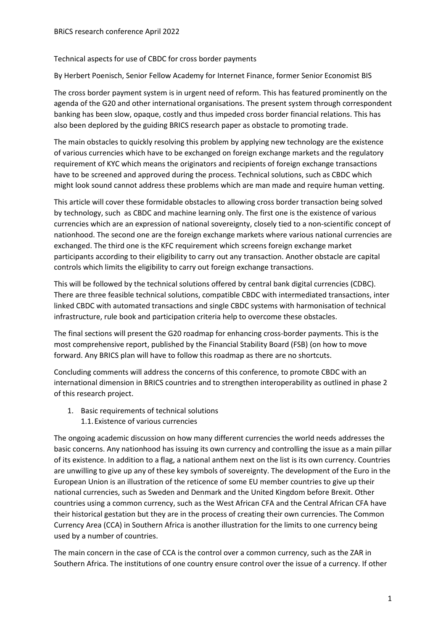## Technical aspects for use of CBDC for cross border payments

By Herbert Poenisch, Senior Fellow Academy for Internet Finance, former Senior Economist BIS

The cross border payment system is in urgent need of reform. This has featured prominently on the agenda of the G20 and other international organisations. The present system through correspondent banking has been slow, opaque, costly and thus impeded cross border financial relations. This has also been deplored by the guiding BRICS research paper as obstacle to promoting trade.

The main obstacles to quickly resolving this problem by applying new technology are the existence of various currencies which have to be exchanged on foreign exchange markets and the regulatory requirement of KYC which means the originators and recipients of foreign exchange transactions have to be screened and approved during the process. Technical solutions, such as CBDC which might look sound cannot address these problems which are man made and require human vetting.

This article will cover these formidable obstacles to allowing cross border transaction being solved by technology, such as CBDC and machine learning only. The first one is the existence of various currencies which are an expression of national sovereignty, closely tied to a non-scientific concept of nationhood. The second one are the foreign exchange markets where various national currencies are exchanged. The third one is the KFC requirement which screens foreign exchange market participants according to their eligibility to carry out any transaction. Another obstacle are capital controls which limits the eligibility to carry out foreign exchange transactions.

This will be followed by the technical solutions offered by central bank digital currencies (CDBC). There are three feasible technical solutions, compatible CBDC with intermediated transactions, inter linked CBDC with automated transactions and single CBDC systems with harmonisation of technical infrastructure, rule book and participation criteria help to overcome these obstacles.

The final sections will present the G20 roadmap for enhancing cross-border payments. This is the most comprehensive report, published by the Financial Stability Board (FSB) (on how to move forward. Any BRICS plan will have to follow this roadmap as there are no shortcuts.

Concluding comments will address the concerns of this conference, to promote CBDC with an international dimension in BRICS countries and to strengthen interoperability as outlined in phase 2 of this research project.

- 1. Basic requirements of technical solutions
	- 1.1.Existence of various currencies

The ongoing academic discussion on how many different currencies the world needs addresses the basic concerns. Any nationhood has issuing its own currency and controlling the issue as a main pillar of its existence. In addition to a flag, a national anthem next on the list is its own currency. Countries are unwilling to give up any of these key symbols of sovereignty. The development of the Euro in the European Union is an illustration of the reticence of some EU member countries to give up their national currencies, such as Sweden and Denmark and the United Kingdom before Brexit. Other countries using a common currency, such as the West African CFA and the Central African CFA have their historical gestation but they are in the process of creating their own currencies. The Common Currency Area (CCA) in Southern Africa is another illustration for the limits to one currency being used by a number of countries.

The main concern in the case of CCA is the control over a common currency, such as the ZAR in Southern Africa. The institutions of one country ensure control over the issue of a currency. If other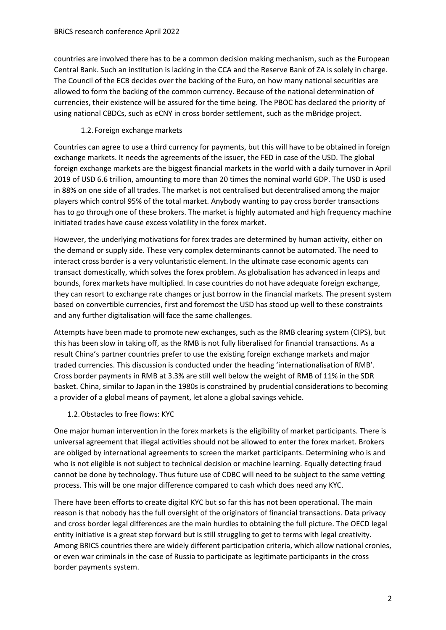countries are involved there has to be a common decision making mechanism, such as the European Central Bank. Such an institution is lacking in the CCA and the Reserve Bank of ZA is solely in charge. The Council of the ECB decides over the backing of the Euro, on how many national securities are allowed to form the backing of the common currency. Because of the national determination of currencies, their existence will be assured for the time being. The PBOC has declared the priority of using national CBDCs, such as eCNY in cross border settlement, such as the mBridge project.

## 1.2.Foreign exchange markets

Countries can agree to use a third currency for payments, but this will have to be obtained in foreign exchange markets. It needs the agreements of the issuer, the FED in case of the USD. The global foreign exchange markets are the biggest financial markets in the world with a daily turnover in April 2019 of USD 6.6 trillion, amounting to more than 20 times the nominal world GDP. The USD is used in 88% on one side of all trades. The market is not centralised but decentralised among the major players which control 95% of the total market. Anybody wanting to pay cross border transactions has to go through one of these brokers. The market is highly automated and high frequency machine initiated trades have cause excess volatility in the forex market.

However, the underlying motivations for forex trades are determined by human activity, either on the demand or supply side. These very complex determinants cannot be automated. The need to interact cross border is a very voluntaristic element. In the ultimate case economic agents can transact domestically, which solves the forex problem. As globalisation has advanced in leaps and bounds, forex markets have multiplied. In case countries do not have adequate foreign exchange, they can resort to exchange rate changes or just borrow in the financial markets. The present system based on convertible currencies, first and foremost the USD has stood up well to these constraints and any further digitalisation will face the same challenges.

Attempts have been made to promote new exchanges, such as the RMB clearing system (CIPS), but this has been slow in taking off, as the RMB is not fully liberalised for financial transactions. As a result China's partner countries prefer to use the existing foreign exchange markets and major traded currencies. This discussion is conducted under the heading 'internationalisation of RMB'. Cross border payments in RMB at 3.3% are still well below the weight of RMB of 11% in the SDR basket. China, similar to Japan in the 1980s is constrained by prudential considerations to becoming a provider of a global means of payment, let alone a global savings vehicle.

1.2.Obstacles to free flows: KYC

One major human intervention in the forex markets is the eligibility of market participants. There is universal agreement that illegal activities should not be allowed to enter the forex market. Brokers are obliged by international agreements to screen the market participants. Determining who is and who is not eligible is not subject to technical decision or machine learning. Equally detecting fraud cannot be done by technology. Thus future use of CDBC will need to be subject to the same vetting process. This will be one major difference compared to cash which does need any KYC.

There have been efforts to create digital KYC but so far this has not been operational. The main reason is that nobody has the full oversight of the originators of financial transactions. Data privacy and cross border legal differences are the main hurdles to obtaining the full picture. The OECD legal entity initiative is a great step forward but is still struggling to get to terms with legal creativity. Among BRICS countries there are widely different participation criteria, which allow national cronies, or even war criminals in the case of Russia to participate as legitimate participants in the cross border payments system.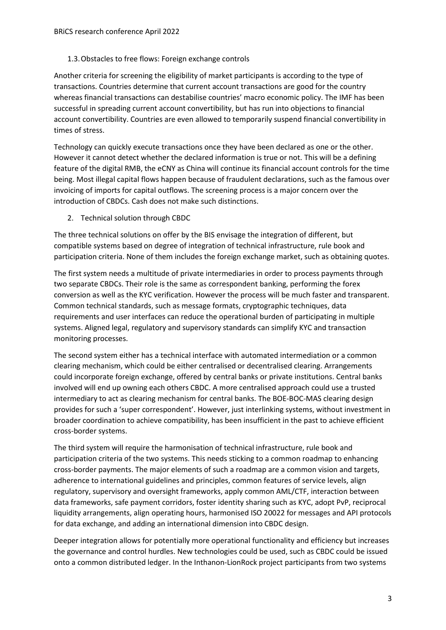## 1.3.Obstacles to free flows: Foreign exchange controls

Another criteria for screening the eligibility of market participants is according to the type of transactions. Countries determine that current account transactions are good for the country whereas financial transactions can destabilise countries' macro economic policy. The IMF has been successful in spreading current account convertibility, but has run into objections to financial account convertibility. Countries are even allowed to temporarily suspend financial convertibility in times of stress.

Technology can quickly execute transactions once they have been declared as one or the other. However it cannot detect whether the declared information is true or not. This will be a defining feature of the digital RMB, the eCNY as China will continue its financial account controls for the time being. Most illegal capital flows happen because of fraudulent declarations, such as the famous over invoicing of imports for capital outflows. The screening process is a major concern over the introduction of CBDCs. Cash does not make such distinctions.

2. Technical solution through CBDC

The three technical solutions on offer by the BIS envisage the integration of different, but compatible systems based on degree of integration of technical infrastructure, rule book and participation criteria. None of them includes the foreign exchange market, such as obtaining quotes.

The first system needs a multitude of private intermediaries in order to process payments through two separate CBDCs. Their role is the same as correspondent banking, performing the forex conversion as well as the KYC verification. However the process will be much faster and transparent. Common technical standards, such as message formats, cryptographic techniques, data requirements and user interfaces can reduce the operational burden of participating in multiple systems. Aligned legal, regulatory and supervisory standards can simplify KYC and transaction monitoring processes.

The second system either has a technical interface with automated intermediation or a common clearing mechanism, which could be either centralised or decentralised clearing. Arrangements could incorporate foreign exchange, offered by central banks or private institutions. Central banks involved will end up owning each others CBDC. A more centralised approach could use a trusted intermediary to act as clearing mechanism for central banks. The BOE-BOC-MAS clearing design provides for such a 'super correspondent'. However, just interlinking systems, without investment in broader coordination to achieve compatibility, has been insufficient in the past to achieve efficient cross-border systems.

The third system will require the harmonisation of technical infrastructure, rule book and participation criteria of the two systems. This needs sticking to a common roadmap to enhancing cross-border payments. The major elements of such a roadmap are a common vision and targets, adherence to international guidelines and principles, common features of service levels, align regulatory, supervisory and oversight frameworks, apply common AML/CTF, interaction between data frameworks, safe payment corridors, foster identity sharing such as KYC, adopt PvP, reciprocal liquidity arrangements, align operating hours, harmonised ISO 20022 for messages and API protocols for data exchange, and adding an international dimension into CBDC design.

Deeper integration allows for potentially more operational functionality and efficiency but increases the governance and control hurdles. New technologies could be used, such as CBDC could be issued onto a common distributed ledger. In the Inthanon-LionRock project participants from two systems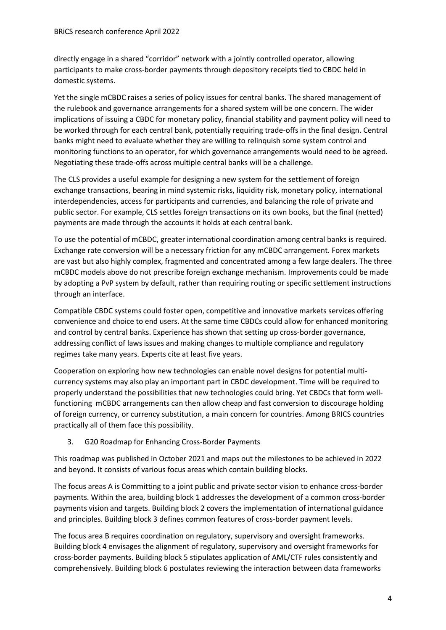directly engage in a shared "corridor" network with a jointly controlled operator, allowing participants to make cross-border payments through depository receipts tied to CBDC held in domestic systems.

Yet the single mCBDC raises a series of policy issues for central banks. The shared management of the rulebook and governance arrangements for a shared system will be one concern. The wider implications of issuing a CBDC for monetary policy, financial stability and payment policy will need to be worked through for each central bank, potentially requiring trade-offs in the final design. Central banks might need to evaluate whether they are willing to relinquish some system control and monitoring functions to an operator, for which governance arrangements would need to be agreed. Negotiating these trade-offs across multiple central banks will be a challenge.

The CLS provides a useful example for designing a new system for the settlement of foreign exchange transactions, bearing in mind systemic risks, liquidity risk, monetary policy, international interdependencies, access for participants and currencies, and balancing the role of private and public sector. For example, CLS settles foreign transactions on its own books, but the final (netted) payments are made through the accounts it holds at each central bank.

To use the potential of mCBDC, greater international coordination among central banks is required. Exchange rate conversion will be a necessary friction for any mCBDC arrangement. Forex markets are vast but also highly complex, fragmented and concentrated among a few large dealers. The three mCBDC models above do not prescribe foreign exchange mechanism. Improvements could be made by adopting a PvP system by default, rather than requiring routing or specific settlement instructions through an interface.

Compatible CBDC systems could foster open, competitive and innovative markets services offering convenience and choice to end users. At the same time CBDCs could allow for enhanced monitoring and control by central banks. Experience has shown that setting up cross-border governance, addressing conflict of laws issues and making changes to multiple compliance and regulatory regimes take many years. Experts cite at least five years.

Cooperation on exploring how new technologies can enable novel designs for potential multicurrency systems may also play an important part in CBDC development. Time will be required to properly understand the possibilities that new technologies could bring. Yet CBDCs that form wellfunctioning mCBDC arrangements can then allow cheap and fast conversion to discourage holding of foreign currency, or currency substitution, a main concern for countries. Among BRICS countries practically all of them face this possibility.

3. G20 Roadmap for Enhancing Cross-Border Payments

This roadmap was published in October 2021 and maps out the milestones to be achieved in 2022 and beyond. It consists of various focus areas which contain building blocks.

The focus areas A is Committing to a joint public and private sector vision to enhance cross-border payments. Within the area, building block 1 addresses the development of a common cross-border payments vision and targets. Building block 2 covers the implementation of international guidance and principles. Building block 3 defines common features of cross-border payment levels.

The focus area B requires coordination on regulatory, supervisory and oversight frameworks. Building block 4 envisages the alignment of regulatory, supervisory and oversight frameworks for cross-border payments. Building block 5 stipulates application of AML/CTF rules consistently and comprehensively. Building block 6 postulates reviewing the interaction between data frameworks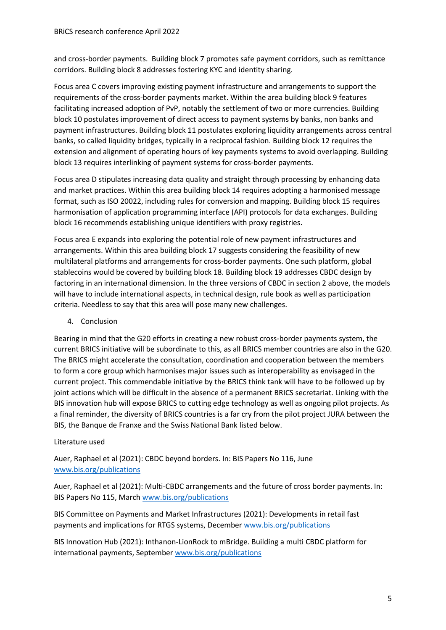and cross-border payments. Building block 7 promotes safe payment corridors, such as remittance corridors. Building block 8 addresses fostering KYC and identity sharing.

Focus area C covers improving existing payment infrastructure and arrangements to support the requirements of the cross-border payments market. Within the area building block 9 features facilitating increased adoption of PvP, notably the settlement of two or more currencies. Building block 10 postulates improvement of direct access to payment systems by banks, non banks and payment infrastructures. Building block 11 postulates exploring liquidity arrangements across central banks, so called liquidity bridges, typically in a reciprocal fashion. Building block 12 requires the extension and alignment of operating hours of key payments systems to avoid overlapping. Building block 13 requires interlinking of payment systems for cross-border payments.

Focus area D stipulates increasing data quality and straight through processing by enhancing data and market practices. Within this area building block 14 requires adopting a harmonised message format, such as ISO 20022, including rules for conversion and mapping. Building block 15 requires harmonisation of application programming interface (API) protocols for data exchanges. Building block 16 recommends establishing unique identifiers with proxy registries.

Focus area E expands into exploring the potential role of new payment infrastructures and arrangements. Within this area building block 17 suggests considering the feasibility of new multilateral platforms and arrangements for cross-border payments. One such platform, global stablecoins would be covered by building block 18. Building block 19 addresses CBDC design by factoring in an international dimension. In the three versions of CBDC in section 2 above, the models will have to include international aspects, in technical design, rule book as well as participation criteria. Needless to say that this area will pose many new challenges.

4. Conclusion

Bearing in mind that the G20 efforts in creating a new robust cross-border payments system, the current BRICS initiative will be subordinate to this, as all BRICS member countries are also in the G20. The BRICS might accelerate the consultation, coordination and cooperation between the members to form a core group which harmonises major issues such as interoperability as envisaged in the current project. This commendable initiative by the BRICS think tank will have to be followed up by joint actions which will be difficult in the absence of a permanent BRICS secretariat. Linking with the BIS innovation hub will expose BRICS to cutting edge technology as well as ongoing pilot projects. As a final reminder, the diversity of BRICS countries is a far cry from the pilot project JURA between the BIS, the Banque de Franxe and the Swiss National Bank listed below.

## Literature used

Auer, Raphael et al (2021): CBDC beyond borders. In: BIS Papers No 116, June [www.bis.org/publications](http://www.bis.org/publications)

Auer, Raphael et al (2021): Multi-CBDC arrangements and the future of cross border payments. In: BIS Papers No 115, March [www.bis.org/publications](http://www.bis.org/publications)

BIS Committee on Payments and Market Infrastructures (2021): Developments in retail fast payments and implications for RTGS systems, Decembe[r www.bis.org/publications](http://www.bis.org/publications)

BIS Innovation Hub (2021): Inthanon-LionRock to mBridge. Building a multi CBDC platform for international payments, Septembe[r www.bis.org/publications](http://www.bis.org/publications)